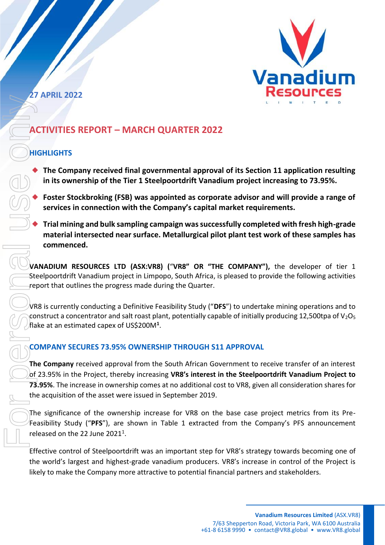

**27 APRIL 2022**

# **ACTIVITIES REPORT – MARCH QUARTER 2022**

## **HIGHLIGHTS**

- The Company received final governmental approval of its Section 11 application resulting **in its ownership of the Tier 1 Steelpoortdrift Vanadium project increasing to 73.95%.**
- Foster Stockbroking (FSB) was appointed as corporate advisor and will provide a range of **services in connection with the Company's capital market requirements.**
- ◆ **Trial mining and bulk sampling campaign was successfully completed with fresh high-grade material intersected near surface. Metallurgical pilot plant test work of these samples has commenced.**

**VANADIUM RESOURCES LTD (ASX:VR8) (**"**VR8" OR "THE COMPANY"),** the developer of tier 1 Steelpoortdrift Vanadium project in Limpopo, South Africa, is pleased to provide the following activities report that outlines the progress made during the Quarter.

VR8 is currently conducting a Definitive Feasibility Study ("**DFS**") to undertake mining operations and to construct a concentrator and salt roast plant, potentially capable of initially producing 12,500tpa of  $V_2O_5$ flake at an estimated capex of US\$200M**<sup>1</sup>** .

## **COMPANY SECURES 73.95% OWNERSHIP THROUGH S11 APPROVAL**

**The Company** received approval from the South African Government to receive transfer of an interest of 23.95% in the Project, thereby increasing **VR8's interest in the Steelpoortdrift Vanadium Project to 73.95%**. The increase in ownership comes at no additional cost to VR8, given all consideration shares for the acquisition of the asset were issued in September 2019.

The significance of the ownership increase for VR8 on the base case project metrics from its Pre-Feasibility Study ("**PFS**"), are shown in Table 1 extracted from the Company's PFS announcement released on the 22 June  $2021<sup>1</sup>$ .

Effective control of Steelpoortdrift was an important step for VR8's strategy towards becoming one of the world's largest and highest-grade vanadium producers. VR8's increase in control of the Project is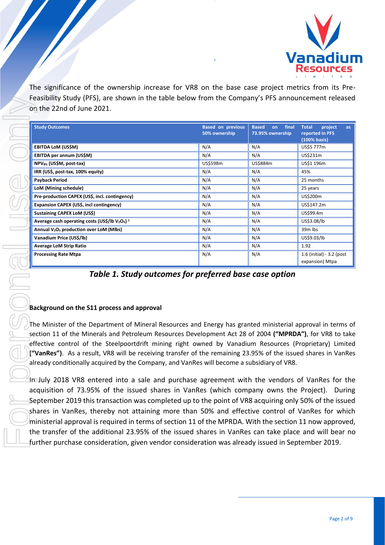

The significance of the ownership increase for VR8 on the base case project metrics from its Pre-Feasibility Study (PFS), are shown in the table below from the Company's PFS announcement released on the 22nd of June 2021.

| <b>Study Outcomes</b>                                                                                                                                                                                                                                                                                                                                                                                                                                                                                                                             | <b>Based on previous</b><br>50% ownership | final<br><b>Based</b><br>on<br>73.95% ownership | <b>Total</b><br>project<br>as<br>reported in PFS<br>(100% basis) |
|---------------------------------------------------------------------------------------------------------------------------------------------------------------------------------------------------------------------------------------------------------------------------------------------------------------------------------------------------------------------------------------------------------------------------------------------------------------------------------------------------------------------------------------------------|-------------------------------------------|-------------------------------------------------|------------------------------------------------------------------|
| EBITDA LoM (US\$M)                                                                                                                                                                                                                                                                                                                                                                                                                                                                                                                                | N/A                                       | N/A                                             | US\$5 777m                                                       |
| EBITDA per annum (US\$M)                                                                                                                                                                                                                                                                                                                                                                                                                                                                                                                          | N/A                                       | N/A                                             | US\$231m                                                         |
| NPV <sub>8%</sub> (US\$M, post-tax)                                                                                                                                                                                                                                                                                                                                                                                                                                                                                                               | US\$598m                                  | US\$884m                                        | US\$1 196m                                                       |
| IRR (US\$, post-tax, 100% equity)                                                                                                                                                                                                                                                                                                                                                                                                                                                                                                                 | N/A                                       | N/A                                             | 45%                                                              |
| Payback Period                                                                                                                                                                                                                                                                                                                                                                                                                                                                                                                                    | N/A                                       | N/A                                             | 25 months                                                        |
| LoM (Mining schedule)                                                                                                                                                                                                                                                                                                                                                                                                                                                                                                                             | N/A                                       | N/A                                             | 25 years                                                         |
| Pre-production CAPEX (US\$, incl. contingency)                                                                                                                                                                                                                                                                                                                                                                                                                                                                                                    | N/A                                       | N/A                                             | US\$200m                                                         |
| Expansion CAPEX (US\$, incl contingency)                                                                                                                                                                                                                                                                                                                                                                                                                                                                                                          | N/A                                       | N/A                                             | US\$147.2m                                                       |
| <b>Sustaining CAPEX LoM (US\$)</b>                                                                                                                                                                                                                                                                                                                                                                                                                                                                                                                | N/A                                       | N/A                                             | US\$99.4m                                                        |
| Average cash operating costs (US\$/lb $V_2O_5$ ) <sup>1</sup>                                                                                                                                                                                                                                                                                                                                                                                                                                                                                     | N/A                                       | N/A                                             | US\$3.08/lb                                                      |
| Annual V <sub>2</sub> O <sub>5</sub> production over LoM (Mlbs)                                                                                                                                                                                                                                                                                                                                                                                                                                                                                   | N/A                                       | N/A                                             | 39m lbs                                                          |
| Vanadium Price (US\$/lb)                                                                                                                                                                                                                                                                                                                                                                                                                                                                                                                          | N/A                                       | N/A                                             | US\$9.03/lb                                                      |
| <b>Average LoM Strip Ratio</b>                                                                                                                                                                                                                                                                                                                                                                                                                                                                                                                    | N/A                                       | N/A                                             | 1.92                                                             |
| <b>Processing Rate Mtpa</b>                                                                                                                                                                                                                                                                                                                                                                                                                                                                                                                       | N/A                                       | N/A                                             | 1.6 (initial) - 3.2 (post<br>expansion) Mtpa                     |
| Background on the S11 process and approval                                                                                                                                                                                                                                                                                                                                                                                                                                                                                                        |                                           |                                                 |                                                                  |
| The Minister of the Department of Mineral Resources and Energy has granted ministerial approval in terms o<br>section 11 of the Minerals and Petroleum Resources Development Act 28 of 2004 ("MPRDA"), for VR8 to take<br>effective control of the Steelpoortdrift mining right owned by Vanadium Resources (Proprietary) Limited<br>("VanRes"). As a result, VR8 will be receiving transfer of the remaining 23.95% of the issued shares in VanRes<br>already conditionally acquired by the Company, and VanRes will become a subsidiary of VR8. |                                           |                                                 |                                                                  |
| imJuly 2018 VR8 entered into a sale and purchase agreement with the vendors of VanRes for the                                                                                                                                                                                                                                                                                                                                                                                                                                                     |                                           |                                                 |                                                                  |
| acquisition of 73.95% of the issued shares in VanRes (which company owns the Project). During<br>September 2019 this transaction was completed up to the point of VR8 acquiring only 50% of the issued<br>shares in VanRes, thereby not attaining more than 50% and effective control of VanRes for which                                                                                                                                                                                                                                         |                                           |                                                 |                                                                  |

*Table 1. Study outcomes for preferred base case option*

### **Background on the S11 process and approval**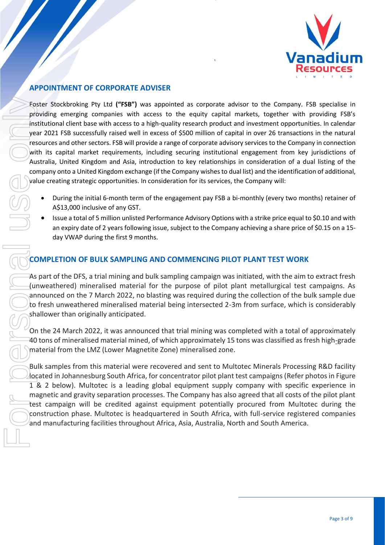

## **APPOINTMENT OF CORPORATE ADVISER**

Foster Stockbroking Pty Ltd **("FSB")** was appointed as corporate advisor to the Company. FSB specialise in providing emerging companies with access to the equity capital markets, together with providing FSB's institutional client base with access to a high-quality research product and investment opportunities. In calendar year 2021 FSB successfully raised well in excess of \$500 million of capital in over 26 transactions in the natural resources and other sectors. FSB will provide a range of corporate advisory services to the Company in connection with its capital market requirements, including securing institutional engagement from key jurisdictions of Australia, United Kingdom and Asia, introduction to key relationships in consideration of a dual listing of the company onto a United Kingdom exchange (if the Company wishes to dual list) and the identification of additional, value creating strategic opportunities. In consideration for its services, the Company will: Featur Stockhooling Pty Ltd (**"FSB")** was appointed as corporate advisor to the Company.<br>
providing emerging companies with access to the equility persent product and investment opporting<br>
yies at 2021 FSB successfully val

- During the initial 6-month term of the engagement pay FSB a bi-monthly (every two months) retainer of A\$13,000 inclusive of any GST.
- Issue a total of 5 million unlisted Performance Advisory Options with a strike price equal to \$0.10 and with an expiry date of 2 years following issue, subject to the Company achieving a share price of \$0.15 on a 15day VWAP during the first 9 months.

### **COMPLETION OF BULK SAMPLING AND COMMENCING PILOT PLANT TEST WORK**

As part of the DFS, a trial mining and bulk sampling campaign was initiated, with the aim to extract fresh (unweathered) mineralised material for the purpose of pilot plant metallurgical test campaigns. As announced on the 7 March 2022, no blasting was required during the collection of the bulk sample due to fresh unweathered mineralised material being intersected 2-3m from surface, which is considerably shallower than originally anticipated.

On the 24 March 2022, it was announced that trial mining was completed with a total of approximately 40 tons of mineralised material mined, of which approximately 15 tons was classified as fresh high-grade material from the LMZ (Lower Magnetite Zone) mineralised zone.

Bulk samples from this material were recovered and sent to Multotec Minerals Processing R&D facility located in Johannesburg South Africa, for concentrator pilot plant test campaigns (Refer photos in Figure 1 & 2 below). Multotec is a leading global equipment supply company with specific experience in magnetic and gravity separation processes. The Company has also agreed that all costs of the pilot plant test campaign will be credited against equipment potentially procured from Multotec during the construction phase. Multotec is headquartered in South Africa, with full-service registered companies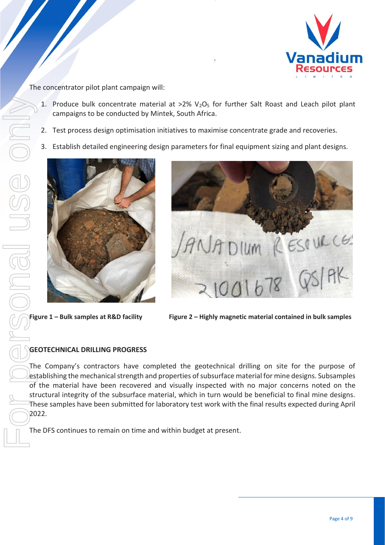

The concentrator pilot plant campaign will:

- 1. Produce bulk concentrate material at  $>2\%$  V<sub>2</sub>O<sub>5</sub> for further Salt Roast and Leach pilot plant campaigns to be conducted by Mintek, South Africa.
- 2. Test process design optimisation initiatives to maximise concentrate grade and recoveries.
- 3. Establish detailed engineering design parameters for final equipment sizing and plant designs.





**Figure 1 – Bulk samples at R&D facility Figure 2 – Highly magnetic material contained in bulk samples**

### **GEOTECHNICAL DRILLING PROGRESS**

The Company's contractors have completed the geotechnical drilling on site for the purpose of establishing the mechanical strength and properties of subsurface material for mine designs. Subsamples of the material have been recovered and visually inspected with no major concerns noted on the structural integrity of the subsurface material, which in turn would be beneficial to final mine designs. These samples have been submitted for laboratory test work with the final results expected during April 2022.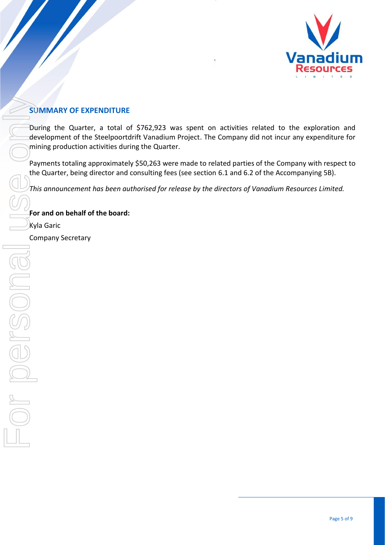

## **SUMMARY OF EXPENDITURE**

During the Quarter, a total of \$762,923 was spent on activities related to the exploration and development of the Steelpoortdrift Vanadium Project. The Company did not incur any expenditure for mining production activities during the Quarter.

Payments totaling approximately \$50,263 were made to related parties of the Company with respect to the Quarter, being director and consulting fees (see section 6.1 and 6.2 of the Accompanying 5B).

*This announcement has been authorised for release by the directors of Vanadium Resources Limited.*

**For and on behalf of the board:**

Kyla Garic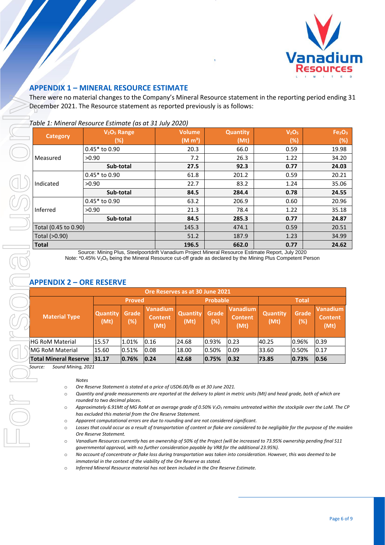

### **APPENDIX 1 – MINERAL RESOURCE ESTIMATE**

There were no material changes to the Company's Mineral Resource statement in the reporting period ending 31 December 2021. The Resource statement as reported previously is as follows:

*Table 1: Mineral Resource Estimate (as at 31 July 2020)*

|                      | V <sub>2</sub> O <sub>5</sub> Range | <b>Volume</b>       | <b>Quantity</b> | V <sub>2</sub> O <sub>5</sub> | Fe <sub>2</sub> O <sub>3</sub> |
|----------------------|-------------------------------------|---------------------|-----------------|-------------------------------|--------------------------------|
| Category             | (%)                                 | (M m <sup>3</sup> ) | (Mt)            | $(\%)$                        | (%)                            |
|                      | $0.45*$ to 0.90                     | 20.3                | 66.0            | 0.59                          | 19.98                          |
| Measured             | >0.90                               | 7.2                 | 26.3            | 1.22                          | 34.20                          |
|                      | Sub-total                           | 27.5                | 92.3            | 0.77                          | 24.03                          |
| Indicated            | $0.45*$ to 0.90                     | 61.8                | 201.2           | 0.59                          | 20.21                          |
|                      | >0.90                               | 22.7                | 83.2            | 1.24                          | 35.06                          |
|                      | Sub-total                           | 84.5                | 284.4           | 0.78                          | 24.55                          |
|                      | $0.45*$ to 0.90                     | 63.2                | 206.9           | 0.60                          | 20.96                          |
| Inferred             | >0.90                               | 21.3                | 78.4            | 1.22                          | 35.18                          |
|                      | Sub-total                           | 84.5                | 285.3           | 0.77                          | 24.87                          |
| Total (0.45 to 0.90) |                                     | 145.3               | 474.1           | 0.59                          | 20.51                          |
| Total (>0.90)        |                                     | 51.2                | 187.9           | 1.23                          | 34.99                          |
| <b>Total</b>         |                                     | 196.5               | 662.0           | 0.77                          | 24.62                          |

Source: Mining Plus, Steelpoortdrift Vanadium Project Mineral Resource Estimate Report, July 2020 Note: \*0.45% V<sub>2</sub>O<sub>5</sub> being the Mineral Resource cut-off grade as declared by the Mining Plus Competent Person

### **APPENDIX 2 – ORE RESERVE**

| Ore Reserves as at 30 June 2021 |                         |              |                                    |                         |              |                                           |                         |              |                                    |
|---------------------------------|-------------------------|--------------|------------------------------------|-------------------------|--------------|-------------------------------------------|-------------------------|--------------|------------------------------------|
|                                 | <b>Proved</b>           |              | <b>Probable</b>                    |                         | <b>Total</b> |                                           |                         |              |                                    |
| <b>Material Type</b>            | <b>Quantity</b><br>(Mt) | Grade<br>(%) | Vanadium<br><b>Content</b><br>(Mt) | <b>Quantity</b><br>(Mt) | Grade<br>(%) | <b>Vanadium</b><br><b>Content</b><br>(Mt) | <b>Quantity</b><br>(Mt) | Grade<br>(%) | Vanadium<br><b>Content</b><br>(Mt) |
| iHG RoM Material                | 15.57                   | 1.01%        | 0.16                               | 24.68                   | 0.93%        | 0.23                                      | 40.25                   | 0.96%        | 0.39                               |
| IMG RoM Material                | 15.60                   | 0.51%        | 0.08                               | 18.00                   | 0.50%        | 0.09                                      | 33.60                   | 0.50%        | 0.17                               |
| <b>Total Mineral Reserve</b>    | 31.17                   | 0.76%        | 0.24                               | 42.68                   | 0.75%        | 0.32                                      | 73.85                   | 0.73%        | 0.56                               |

*Source: Sound Mining, 2021*

#### *Notes*

- o *Ore Reserve Statement is stated at a price of USD6.00/lb as at 30 June 2021.*
- o *Quantity and grade measurements are reported at the delivery to plant in metric units (Mt) and head grade, both of which are rounded to two decimal places.*
- o *Approximately 6.91Mt of MG RoM at an average grade of 0.50% V2O<sup>5</sup> remains untreated within the stockpile over the LoM. The CP has excluded this material from the Ore Reserve Statement.*
- o *Apparent computational errors are due to rounding and are not considered significant.*
- o *Losses that could occur as a result of transportation of content or flake are considered to be negligible for the purpose of the maiden Ore Reserve Statement.*
- o *Vanadium Resources currently has an ownership of 50% of the Project (will be increased to 73.95% ownership pending final S11 governmental approval, with no further consideration payable by VR8 for the additional 23.95%).*
- o *No account of concentrate or flake loss during transportation was taken into consideration. However, this was deemed to be immaterial in the context of the viability of the Ore Reserve as stated.*
- o *Inferred Mineral Resource material has not been included in the Ore Reserve Estimate.*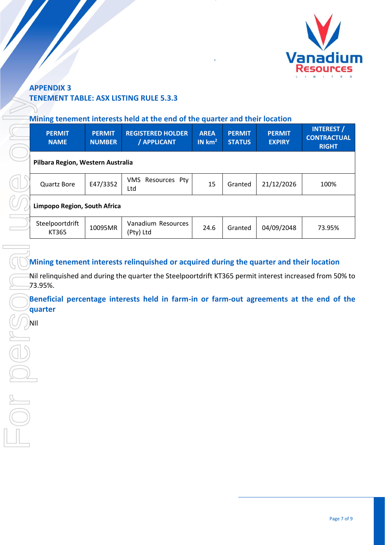

## **APPENDIX 3 TENEMENT TABLE: ASX LISTING RULE 5.3.3**

### **Mining tenement interests held at the end of the quarter and their location**

| <b>PERMIT</b><br><b>NAME</b>      | <b>PERMIT</b><br><b>NUMBER</b> | <b>REGISTERED HOLDER</b><br>/ APPLICANT | <b>AREA</b><br>IN km <sup>2</sup> | <b>PERMIT</b><br><b>STATUS</b> | <b>PERMIT</b><br><b>EXPIRY</b> | <b>INTEREST /</b><br><b>CONTRACTUAL</b><br><b>RIGHT</b> |
|-----------------------------------|--------------------------------|-----------------------------------------|-----------------------------------|--------------------------------|--------------------------------|---------------------------------------------------------|
| Pilbara Region, Western Australia |                                |                                         |                                   |                                |                                |                                                         |
| <b>Quartz Bore</b>                | E47/3352                       | Resources Pty<br>VMS.<br>Ltd            | 15                                | Granted                        | 21/12/2026                     | 100%                                                    |
| Limpopo Region, South Africa      |                                |                                         |                                   |                                |                                |                                                         |
| Steelpoortdrift<br>KT365          | 10095MR                        | Vanadium Resources<br>(Pty) Ltd         | 24.6                              | Granted                        | 04/09/2048                     | 73.95%                                                  |

## **Mining tenement interests relinquished or acquired during the quarter and their location**

Nil relinquished and during the quarter the Steelpoortdrift KT365 permit interest increased from 50% to 73.95%.

**Beneficial percentage interests held in farm-in or farm-out agreements at the end of the quarter**

ÌМ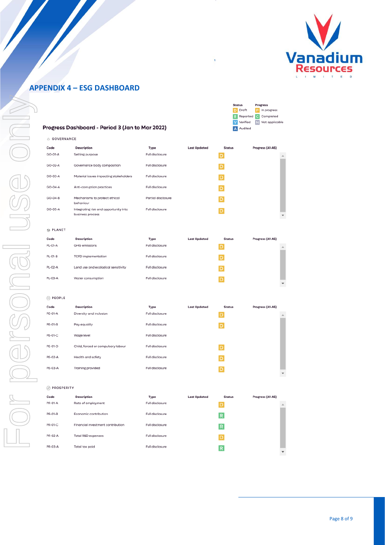

## **APPENDIX 4 – ESG DASHBOARD**

| Progress Dashboard - Period 3 (Jan to Mar 2022) |
|-------------------------------------------------|
|-------------------------------------------------|

| <b>Status</b> |          | Progress |                      |  |  |  |
|---------------|----------|----------|----------------------|--|--|--|
| Ð             | Draft    | P        | In progress          |  |  |  |
| R             |          |          | Reported C Completed |  |  |  |
|               | Verified | N        | Not applicable       |  |  |  |
|               | Audited  |          |                      |  |  |  |
|               |          |          |                      |  |  |  |

| GOVERNANCE<br>$\circ$ |                                                           |                    |                     |               |                  |
|-----------------------|-----------------------------------------------------------|--------------------|---------------------|---------------|------------------|
| Code                  | Description                                               | Type               | <b>Last Updated</b> | <b>Status</b> | Progress (A1-A5) |
| GO-01-A               | Setting purpose                                           | Full disclosure    |                     | D             |                  |
| GO-02-A               | Governance body composition                               | Full disclosure    |                     | D             |                  |
| GO-03-A               | Material issues impacting stakeholders                    | Full disclosure    |                     | D             |                  |
| GO-04-A               | Anti-corruption practices                                 | Full disclosure    |                     | D             |                  |
| GO-04-B               | Mechanisms to protect ethical<br>behaviour                | Partial disclosure |                     | D             |                  |
| GO-05-A               | Integrating risk and opportunity into<br>business process | Full disclosure    |                     | ۱D            |                  |
| <b>69 PLANET</b>      |                                                           |                    |                     |               |                  |

| Code    | Description                         | Type            | <b>Last Updated</b> | <b>Status</b> | Progress (A1-A5) |    |
|---------|-------------------------------------|-----------------|---------------------|---------------|------------------|----|
| PL-01-A | GHG emissions                       | Full disclosure |                     | $\mathsf{D}$  |                  | A. |
| PL-01-B | <b>TCFD</b> implementation          | Full disclosure |                     | $\mathsf{D}$  |                  |    |
| PL-02-A | Land use and ecological sensitivity | Full disclosure |                     | $\mathsf{D}$  |                  |    |
| PL-03-A | Water consumption                   | Full disclosure |                     | $\mathsf{D}$  |                  |    |
|         |                                     |                 |                     |               |                  | ▼  |

### PEOPLE

| Code           | Description                        | Type            | <b>Last Updated</b> | <b>Status</b> | Progress (A1-A5) |                          |
|----------------|------------------------------------|-----------------|---------------------|---------------|------------------|--------------------------|
| PE-01-A        | Diversity and inclusion            | Full disclosure |                     | D             |                  | Δ                        |
| <b>PE-01-B</b> | Pay equality                       | Full disclosure |                     | D             |                  |                          |
| PE-01-C        | Wage level                         | Full disclosure |                     |               |                  |                          |
| PE-01-D        | Child, forced or compulsory labour | Full disclosure |                     | D             |                  |                          |
| PE-02-A        | Health and safety                  | Full disclosure |                     | D             |                  |                          |
| PE-03-A        | Training provided                  | Full disclosure |                     | ۱D            |                  | $\overline{\phantom{a}}$ |

#### PROSPERITY

| Code    | Description                       | Type            | <b>Last Updated</b> | <b>Status</b> | Progress (A1-A5)         |
|---------|-----------------------------------|-----------------|---------------------|---------------|--------------------------|
| PR-01-A | Rate of employment                | Full disclosure |                     | D             | 业                        |
| PR-01-B | Economic contribution             | Full disclosure |                     | R             |                          |
| PR-01-C | Financial investment contribution | Full disclosure |                     | R             |                          |
| PR-02-A | Total R&D expenses                | Full disclosure |                     | D             |                          |
| PR-03-A | Total tax paid                    | Full disclosure |                     | R             | $\overline{\phantom{a}}$ |
|         |                                   |                 |                     |               |                          |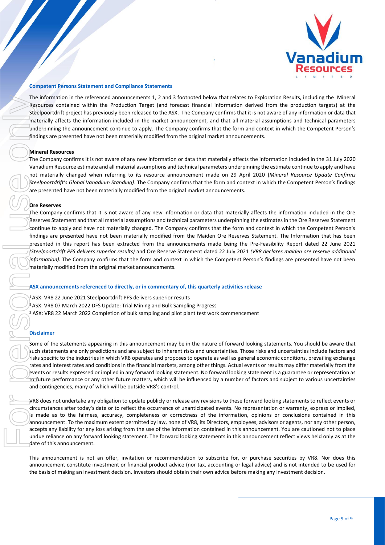

#### **Competent Persons Statement and Compliance Statements**

The information in the referenced announcements 1, 2 and 3 footnoted below that relates to Exploration Results, including the Mineral Resources contained within the Production Target (and forecast financial information derived from the production targets) at the Steelpoortdrift project has previously been released to the ASX. The Company confirms that it is not aware of any information or data that materially affects the information included in the market announcement, and that all material assumptions and technical parameters underpinning the announcement continue to apply. The Company confirms that the form and context in which the Competent Person's findings are presented have not been materially modified from the original market announcements.

#### **Mineral Resources**

The Company confirms it is not aware of any new information or data that materially affects the information included in the 31 July 2020 Vanadium Resource estimate and all material assumptions and technical parameters underpinning the estimate continue to apply and have not materially changed when referring to its resource announcement made on 29 April 2020 (*Mineral Resource Update Confirms Steelpoortdrift's Global Vanadium Standing)*. The Company confirms that the form and context in which the Competent Person's findings are presented have not been materially modified from the original market announcements.

#### **Ore Reserves**

The Company confirms that it is not aware of any new information or data that materially affects the information included in the Ore Reserves Statement and that all material assumptions and technical parameters underpinning the estimates in the Ore Reserves Statement continue to apply and have not materially changed. The Company confirms that the form and context in which the Competent Person's findings are presented have not been materially modified from the Maiden Ore Reserves Statement. The Information that has been presented in this report has been extracted from the announcements made being the Pre-Feasibility Report dated 22 June 2021 *(Steelpoortdrift PFS delivers superior results)* and Ore Reserve Statement dated 22 July 2021 *(VR8 declares maiden ore reserve additional information).* The Company confirms that the form and context in which the Competent Person's findings are presented have not been materially modified from the original market announcements. The material investment of making and the state internet is the distinct of the state of making and the state of making any investors should obtain the making any investment of the state of making any investment of making

#### **ASX announcements referenced to directly, or in commentary of, this quarterly activities release**

<sup>1</sup> ASX: VR8 22 June 2021 Steelpoortdrift PFS delivers superior results  $\frac{1}{2}$  ASX: VR8 07 March 2022 DFS Update: Trial Mining and Bulk Sampling Progress <sup>3</sup> ASX: VR8 22 March 2022 Completion of bulk sampling and pilot plant test work commencement

#### **Disclaimer**

Some of the statements appearing in this announcement may be in the nature of forward looking statements. You should be aware that such statements are only predictions and are subject to inherent risks and uncertainties. Those risks and uncertainties include factors and risks specific to the industries in which VR8 operates and proposes to operate as well as general economic conditions, prevailing exchange rates and interest rates and conditions in the financial markets, among other things. Actual events or results may differ materially from the events or results expressed or implied in any forward looking statement. No forward looking statement is a guarantee or representation as to future performance or any other future matters, which will be influenced by a number of factors and subject to various uncertainties and contingencies, many of which will be outside VR8's control.

VR8 does not undertake any obligation to update publicly or release any revisions to these forward looking statements to reflect events or circumstances after today's date or to reflect the occurrence of unanticipated events. No representation or warranty, express or implied, is made as to the fairness, accuracy, completeness or correctness of the information, opinions or conclusions contained in this announcement. To the maximum extent permitted by law, none of VR8, its Directors, employees, advisors or agents, nor any other person, accepts any liability for any loss arising from the use of the information contained in this announcement. You are cautioned not to place undue reliance on any forward looking statement. The forward looking statements in this announcement reflect views held only as at the date of this announcement.

This announcement is not an offer, invitation or recommendation to subscribe for, or purchase securities by VR8. Nor does this announcement constitute investment or financial product advice (nor tax, accounting or legal advice) and is not intended to be used for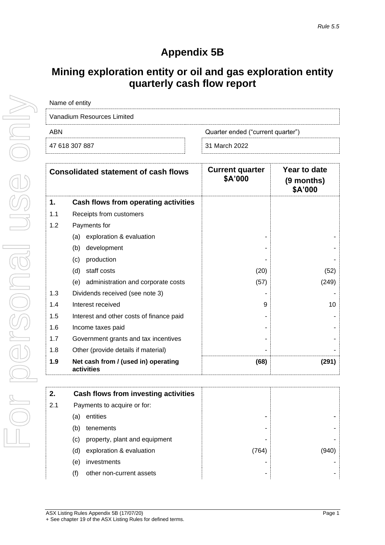# **Appendix 5B**

# **Mining exploration entity or oil and gas exploration entity quarterly cash flow report**

| Name of entity             |                                   |  |  |  |  |  |
|----------------------------|-----------------------------------|--|--|--|--|--|
| Vanadium Resources Limited |                                   |  |  |  |  |  |
| ABN                        | Quarter ended ("current quarter") |  |  |  |  |  |
| 47 618 307 887             | 31 March 2022                     |  |  |  |  |  |
|                            |                                   |  |  |  |  |  |

|     | <b>Consolidated statement of cash flows</b>       | <b>Current quarter</b><br>\$A'000 | Year to date<br>$(9$ months)<br>\$A'000 |
|-----|---------------------------------------------------|-----------------------------------|-----------------------------------------|
| 1.  | Cash flows from operating activities              |                                   |                                         |
| 1.1 | Receipts from customers                           |                                   |                                         |
| 1.2 | Payments for                                      |                                   |                                         |
|     | exploration & evaluation<br>(a)                   |                                   |                                         |
|     | (b)<br>development                                |                                   |                                         |
|     | production<br>(c)                                 |                                   |                                         |
|     | (d)<br>staff costs                                | (20)                              | (52)                                    |
|     | administration and corporate costs<br>(e)         | (57)                              | (249)                                   |
| 1.3 | Dividends received (see note 3)                   |                                   |                                         |
| 1.4 | Interest received                                 | 9                                 | 10                                      |
| 1.5 | Interest and other costs of finance paid          |                                   |                                         |
| 1.6 | Income taxes paid                                 |                                   |                                         |
| 1.7 | Government grants and tax incentives              |                                   |                                         |
| 1.8 | Other (provide details if material)               |                                   |                                         |
| 1.9 | Net cash from / (used in) operating<br>activities | (68)                              | (291)                                   |

| 2.  | Cash flows from investing activities |       |      |
|-----|--------------------------------------|-------|------|
| 2.1 | Payments to acquire or for:          |       |      |
|     | entities<br>(a)                      |       |      |
|     | tenements<br>(b)                     |       |      |
|     | property, plant and equipment<br>(C) |       |      |
|     | exploration & evaluation<br>(d)      | (764) | '940 |
|     | investments<br>(e)                   |       |      |
|     | other non-current assets             | -     |      |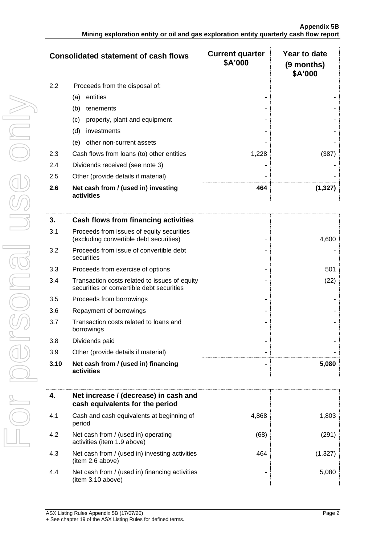|     | <b>Consolidated statement of cash flows</b>       | <b>Current quarter</b><br>\$A'000 | Year to date<br>(9 months)<br>\$A'000 |
|-----|---------------------------------------------------|-----------------------------------|---------------------------------------|
| 2.2 | Proceeds from the disposal of:                    |                                   |                                       |
|     | entities<br>(a)                                   |                                   |                                       |
|     | (b)<br>tenements                                  |                                   |                                       |
|     | property, plant and equipment<br>(c)              |                                   |                                       |
|     | (d)<br>investments                                |                                   |                                       |
|     | other non-current assets<br>(e)                   |                                   |                                       |
| 2.3 | Cash flows from loans (to) other entities         | 1,228                             | (387)                                 |
| 2.4 | Dividends received (see note 3)                   |                                   |                                       |
| 2.5 | Other (provide details if material)               |                                   |                                       |
| 2.6 | Net cash from / (used in) investing<br>activities | 464                               | (1,327                                |

| 3.   | Cash flows from financing activities                                                       |       |
|------|--------------------------------------------------------------------------------------------|-------|
| 3.1  | Proceeds from issues of equity securities<br>(excluding convertible debt securities)       | 4,600 |
| 3.2  | Proceeds from issue of convertible debt<br>securities                                      |       |
| 3.3  | Proceeds from exercise of options                                                          | 501   |
| 3.4  | Transaction costs related to issues of equity<br>securities or convertible debt securities | (22)  |
| 3.5  | Proceeds from borrowings                                                                   |       |
| 3.6  | Repayment of borrowings                                                                    |       |
| 3.7  | Transaction costs related to loans and<br>borrowings                                       |       |
| 3.8  | Dividends paid                                                                             |       |
| 3.9  | Other (provide details if material)                                                        |       |
| 3.10 | Net cash from / (used in) financing<br>activities                                          | 5,080 |

|     | Net increase / (decrease) in cash and<br>cash equivalents for the period |       |         |
|-----|--------------------------------------------------------------------------|-------|---------|
| 4.1 | Cash and cash equivalents at beginning of<br>period                      | 4,868 | 1,803   |
| 4.2 | Net cash from / (used in) operating<br>activities (item 1.9 above)       | (68)  | (291)   |
| 4.3 | Net cash from / (used in) investing activities<br>(item 2.6 above)       | 464   | (1,327) |
| 4.4 | Net cash from / (used in) financing activities<br>(item 3.10 above)      |       | 5,080   |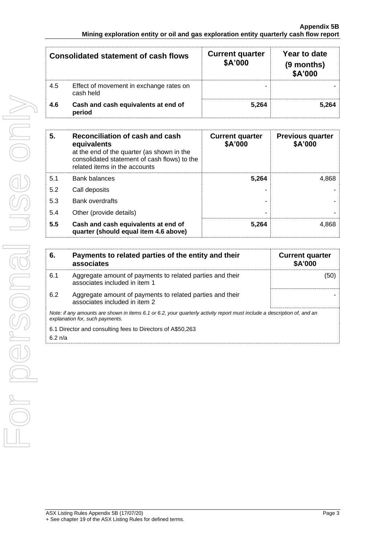| <b>Consolidated statement of cash flows</b> |                                                      | <b>Current quarter</b><br>\$A'000 | Year to date<br>(9 months)<br>\$A'000 |
|---------------------------------------------|------------------------------------------------------|-----------------------------------|---------------------------------------|
| 4.5                                         | Effect of movement in exchange rates on<br>cash held |                                   |                                       |
| 4.6                                         | Cash and cash equivalents at end of<br>period        | 5.264                             | 5.264                                 |

| 5.  | Reconciliation of cash and cash<br>equivalents<br>at the end of the quarter (as shown in the<br>consolidated statement of cash flows) to the<br>related items in the accounts | <b>Current quarter</b><br>\$A'000 | <b>Previous quarter</b><br>\$A'000 |
|-----|-------------------------------------------------------------------------------------------------------------------------------------------------------------------------------|-----------------------------------|------------------------------------|
| 5.1 | <b>Bank balances</b>                                                                                                                                                          | 5,264                             | 4.868                              |
| 5.2 | Call deposits                                                                                                                                                                 |                                   |                                    |
| 5.3 | <b>Bank overdrafts</b>                                                                                                                                                        |                                   |                                    |
| 5.4 | Other (provide details)                                                                                                                                                       |                                   |                                    |
| 5.5 | Cash and cash equivalents at end of<br>quarter (should equal item 4.6 above)                                                                                                  | 5.264                             | 4.868                              |

| 6.                                                                                                                                                          | Payments to related parties of the entity and their<br>associates                          | <b>Current quarter</b><br>\$A'000 |  |
|-------------------------------------------------------------------------------------------------------------------------------------------------------------|--------------------------------------------------------------------------------------------|-----------------------------------|--|
| 6.1                                                                                                                                                         | Aggregate amount of payments to related parties and their<br>associates included in item 1 | (50)                              |  |
| 6.2                                                                                                                                                         | Aggregate amount of payments to related parties and their<br>associates included in item 2 |                                   |  |
| Note: if any amounts are shown in items 6.1 or 6.2, your quarterly activity report must include a description of, and an<br>explanation for, such payments. |                                                                                            |                                   |  |
| 6.1 Director and consulting fees to Directors of A\$50,263                                                                                                  |                                                                                            |                                   |  |
| $6.2 \text{ n/a}$                                                                                                                                           |                                                                                            |                                   |  |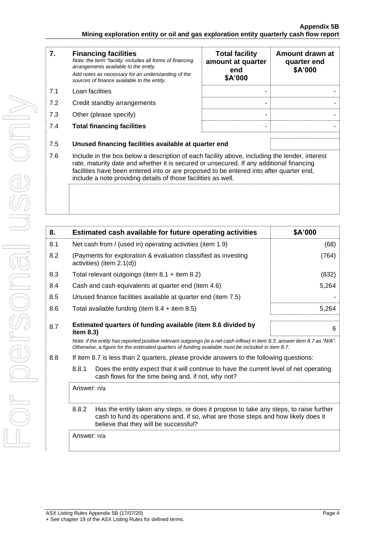| 7.  | <b>Financing facilities</b><br>Note: the term "facility' includes all forms of financing<br>arrangements available to the entity.<br>Add notes as necessary for an understanding of the<br>sources of finance available to the entity.                                                                                                               | <b>Total facility</b><br>amount at quarter<br>end<br>\$A'000 | Amount drawn at<br>quarter end<br>\$A'000 |
|-----|------------------------------------------------------------------------------------------------------------------------------------------------------------------------------------------------------------------------------------------------------------------------------------------------------------------------------------------------------|--------------------------------------------------------------|-------------------------------------------|
| 7.1 | Loan facilities                                                                                                                                                                                                                                                                                                                                      |                                                              |                                           |
| 7.2 | Credit standby arrangements                                                                                                                                                                                                                                                                                                                          |                                                              |                                           |
| 7.3 | Other (please specify)                                                                                                                                                                                                                                                                                                                               |                                                              |                                           |
| 7.4 | <b>Total financing facilities</b>                                                                                                                                                                                                                                                                                                                    |                                                              |                                           |
| 7.5 | Unused financing facilities available at quarter end                                                                                                                                                                                                                                                                                                 |                                                              |                                           |
| 7.6 | Include in the box below a description of each facility above, including the lender, interest<br>rate, maturity date and whether it is secured or unsecured. If any additional financing<br>facilities have been entered into or are proposed to be entered into after quarter end,<br>include a note providing details of those facilities as well. |                                                              |                                           |
|     |                                                                                                                                                                                                                                                                                                                                                      |                                                              |                                           |

| 8.                                                                          |                                                                                                                                                                                                                                 | Estimated cash available for future operating activities                                                                                                                                                                        | \$A'000 |
|-----------------------------------------------------------------------------|---------------------------------------------------------------------------------------------------------------------------------------------------------------------------------------------------------------------------------|---------------------------------------------------------------------------------------------------------------------------------------------------------------------------------------------------------------------------------|---------|
| 8.1                                                                         |                                                                                                                                                                                                                                 | Net cash from / (used in) operating activities (item 1.9)                                                                                                                                                                       | (68)    |
| 8.2                                                                         |                                                                                                                                                                                                                                 | (Payments for exploration & evaluation classified as investing<br>activities) (item 2.1(d))                                                                                                                                     | (764)   |
| 8.3                                                                         |                                                                                                                                                                                                                                 | Total relevant outgoings (item $8.1$ + item $8.2$ )                                                                                                                                                                             | (832)   |
| 8.4                                                                         |                                                                                                                                                                                                                                 | Cash and cash equivalents at quarter end (item 4.6)                                                                                                                                                                             | 5,264   |
| 8.5                                                                         |                                                                                                                                                                                                                                 | Unused finance facilities available at quarter end (item 7.5)                                                                                                                                                                   |         |
| 8.6                                                                         |                                                                                                                                                                                                                                 | Total available funding (item $8.4 +$ item $8.5$ )                                                                                                                                                                              | 5,264   |
| 8.7                                                                         | Estimated quarters of funding available (item 8.6 divided by<br>item 8.3)                                                                                                                                                       |                                                                                                                                                                                                                                 | 6       |
|                                                                             |                                                                                                                                                                                                                                 | Note: if the entity has reported positive relevant outgoings (ie a net cash inflow) in item 8.3, answer item 8.7 as "N/A".<br>Otherwise, a figure for the estimated quarters of funding available must be included in item 8.7. |         |
| 8.8                                                                         |                                                                                                                                                                                                                                 | If item 8.7 is less than 2 quarters, please provide answers to the following questions:                                                                                                                                         |         |
| 8.8.1<br>cash flows for the time being and, if not, why not?<br>Answer: n/a |                                                                                                                                                                                                                                 | Does the entity expect that it will continue to have the current level of net operating                                                                                                                                         |         |
|                                                                             |                                                                                                                                                                                                                                 |                                                                                                                                                                                                                                 |         |
|                                                                             | 8.8.2<br>Has the entity taken any steps, or does it propose to take any steps, to raise further<br>cash to fund its operations and, if so, what are those steps and how likely does it<br>believe that they will be successful? |                                                                                                                                                                                                                                 |         |
| Answer: n/a                                                                 |                                                                                                                                                                                                                                 |                                                                                                                                                                                                                                 |         |